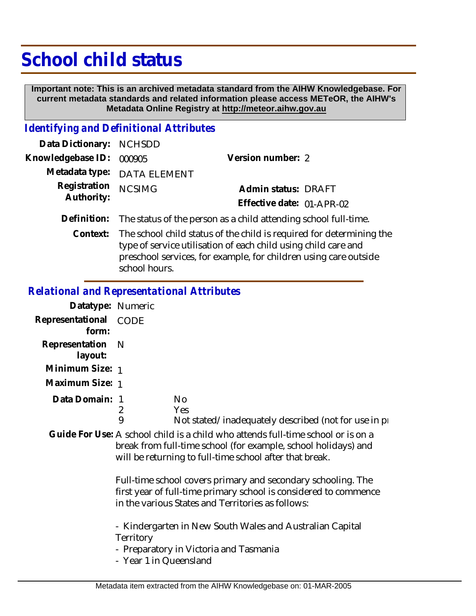# **School child status**

 **Important note: This is an archived metadata standard from the AIHW Knowledgebase. For current metadata standards and related information please access METeOR, the AIHW's Metadata Online Registry at http://meteor.aihw.gov.au**

### *Identifying and Definitional Attributes*

| Data Dictionary: NCHSDD  |                                                                                                                                             |                           |  |
|--------------------------|---------------------------------------------------------------------------------------------------------------------------------------------|---------------------------|--|
| Knowledgebase ID: 000905 |                                                                                                                                             | Version number: 2         |  |
|                          | Metadata type: DATA ELEMENT                                                                                                                 |                           |  |
| Registration             | <b>NCSIMG</b>                                                                                                                               | Admin status: DRAFT       |  |
| Authority:               |                                                                                                                                             | Effective date: 01-APR-02 |  |
|                          | Definition: The status of the person as a child attending school full-time.                                                                 |                           |  |
|                          | Context: The school child status of the child is required for determining<br>tupe of service utilication of each child using child sare and |                           |  |

ning the type of service utilisation of each child using child care and preschool services, for example, for children using care outside school hours.

### *Relational and Representational Attributes*

| Datatype: Numeric         |             |                                                                                                                                                                                                               |
|---------------------------|-------------|---------------------------------------------------------------------------------------------------------------------------------------------------------------------------------------------------------------|
| Representational<br>form: | <b>CODE</b> |                                                                                                                                                                                                               |
| Representation<br>layout: | - N         |                                                                                                                                                                                                               |
| Minimum Size: 1           |             |                                                                                                                                                                                                               |
| Maximum Size: 1           |             |                                                                                                                                                                                                               |
| Data Domain: 1            | 9           | No.<br>Yes<br>Not stated/inadequately described (not for use in pro-                                                                                                                                          |
|                           |             | Guide For Use: A school child is a child who attends full-time school or is on a<br>break from full-time school (for example, school holidays) and<br>will be returning to full-time school after that break. |

Full-time school covers primary and secondary schooling. The first year of full-time primary school is considered to commence in the various States and Territories as follows:

- Kindergarten in New South Wales and Australian Capital **Territory** 

- Preparatory in Victoria and Tasmania

- Year 1 in Queensland